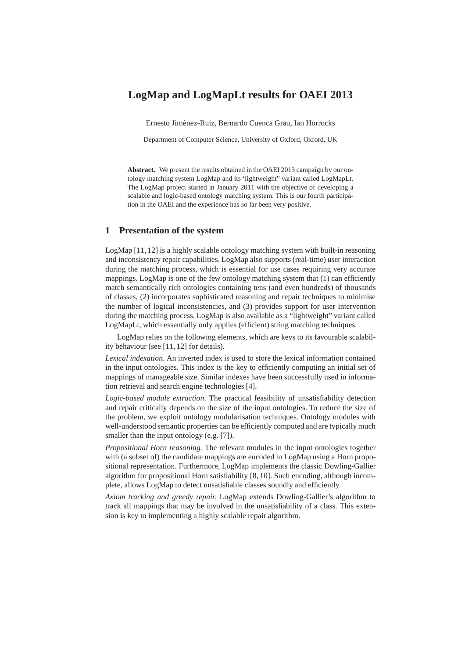# **LogMap and LogMapLt results for OAEI 2013**

Ernesto Jiménez-Ruiz, Bernardo Cuenca Grau, Ian Horrocks

Department of Computer Science, University of Oxford, Oxford, UK

**Abstract.** We present the results obtained in the OAEI 2013 campaign by our ontology matching system LogMap and its 'lightweight" variant called LogMapLt. The LogMap project started in January 2011 with the objective of developing a scalable and logic-based ontology matching system. This is our fourth participation in the OAEI and the experience has so far been very positive.

# **1 Presentation of the system**

LogMap [11, 12] is a highly scalable ontology matching system with built-in reasoning and inconsistency repair capabilities. LogMap also supports (real-time) user interaction during the matching process, which is essential for use cases requiring very accurate mappings. LogMap is one of the few ontology matching system that (1) can efficiently match semantically rich ontologies containing tens (and even hundreds) of thousands of classes, (2) incorporates sophisticated reasoning and repair techniques to minimise the number of logical inconsistencies, and (3) provides support for user intervention during the matching process. LogMap is also available as a "lightweight" variant called LogMapLt, which essentially only applies (efficient) string matching techniques.

LogMap relies on the following elements, which are keys to its favourable scalability behaviour (see [11, 12] for details).

*Lexical indexation*. An inverted index is used to store the lexical information contained in the input ontologies. This index is the key to efficiently computing an initial set of mappings of manageable size. Similar indexes have been successfully used in information retrieval and search engine technologies [4].

*Logic-based module extraction*. The practical feasibility of unsatisfiability detection and repair critically depends on the size of the input ontologies. To reduce the size of the problem, we exploit ontology modularisation techniques. Ontology modules with well-understood semantic properties can be efficiently computed and are typically much smaller than the input ontology (e.g. [7]).

*Propositional Horn reasoning.* The relevant modules in the input ontologies together with (a subset of) the candidate mappings are encoded in LogMap using a Horn propositional representation. Furthermore, LogMap implements the classic Dowling-Gallier algorithm for propositional Horn satisfiability [8, 10]. Such encoding, although incomplete, allows LogMap to detect unsatisfiable classes soundly and efficiently.

*Axiom tracking and greedy repair.* LogMap extends Dowling-Gallier's algorithm to track all mappings that may be involved in the unsatisfiability of a class. This extension is key to implementing a highly scalable repair algorithm.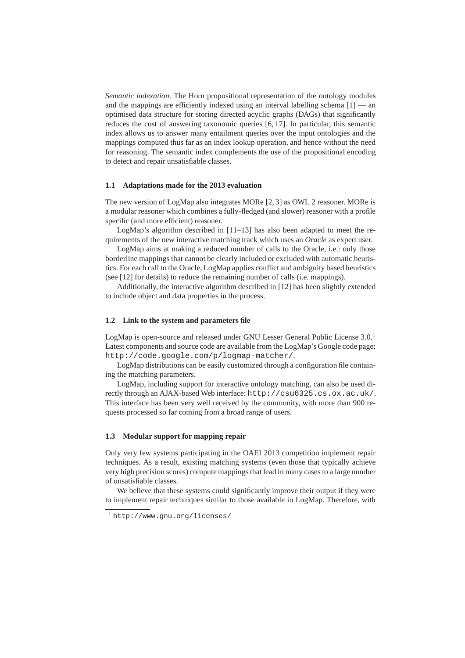*Semantic indexation*. The Horn propositional representation of the ontology modules and the mappings are efficiently indexed using an interval labelling schema  $[1]$  — an optimised data structure for storing directed acyclic graphs (DAGs) that significantly reduces the cost of answering taxonomic queries [6, 17]. In particular, this semantic index allows us to answer many entailment queries over the input ontologies and the mappings computed thus far as an index lookup operation, and hence without the need for reasoning. The semantic index complements the use of the propositional encoding to detect and repair unsatisfiable classes.

#### **1.1 Adaptations made for the 2013 evaluation**

The new version of LogMap also integrates MORe [2, 3] as OWL 2 reasoner. MORe is a modular reasoner which combines a fully-fledged (and slower) reasoner with a profile specific (and more efficient) reasoner.

LogMap's algorithm described in [11–13] has also been adapted to meet the requirements of the new interactive matching track which uses an *Oracle* as expert user.

LogMap aims at making a reduced number of calls to the Oracle, i.e.: only those borderline mappings that cannot be clearly included or excluded with automatic heuristics. For each call to the Oracle, LogMap applies conflict and ambiguity based heuristics (see [12] for details) to reduce the remaining number of calls (i.e. mappings).

Additionally, the interactive algorithm described in [12] has been slightly extended to include object and data properties in the process.

# **1.2 Link to the system and parameters file**

LogMap is open-source and released under GNU Lesser General Public License 3.0.<sup>1</sup> Latest components and source code are available from the LogMap's Google code page: http://code.google.com/p/logmap-matcher/.

LogMap distributions can be easily customized through a configuration file containing the matching parameters.

LogMap, including support for interactive ontology matching, can also be used directly through an AJAX-based Web interface: http://csu6325.cs.ox.ac.uk/. This interface has been very well received by the community, with more than 900 requests processed so far coming from a broad range of users.

### **1.3 Modular support for mapping repair**

Only very few systems participating in the OAEI 2013 competition implement repair techniques. As a result, existing matching systems (even those that typically achieve very high precision scores) compute mappings that lead in many cases to a large number of unsatisfiable classes.

We believe that these systems could significantly improve their output if they were to implement repair techniques similar to those available in LogMap. Therefore, with

<sup>1</sup> http://www.gnu.org/licenses/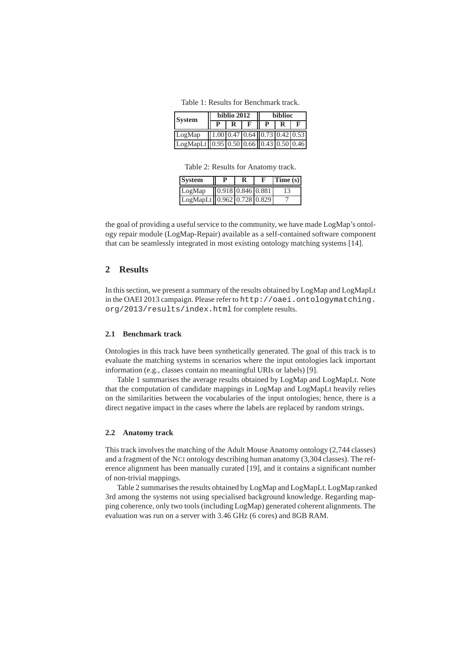Table 1: Results for Benchmark track.

| <b>System</b>                          |                   | biblio 2012 | <b>biblioc</b>                                   |  |  |
|----------------------------------------|-------------------|-------------|--------------------------------------------------|--|--|
|                                        | $\mathbf{p}$<br>R |             |                                                  |  |  |
| LogMap                                 |                   |             | $(1.00 \, 0.47 \, 0.64 \, 0.73 \, 0.42 \, 0.53)$ |  |  |
| LogMapLt 0.95 0.50 0.66 0.43 0.50 0.46 |                   |             |                                                  |  |  |

Table 2: Results for Anatomy track.

| <b>System</b>              | D                                        | E | Time(s) |
|----------------------------|------------------------------------------|---|---------|
| LogMap                     | $\sqrt{0.918 \times 0.846 \times 0.881}$ |   |         |
| LogMapLt 0.962 0.728 0.829 |                                          |   |         |

the goal of providing a useful service to the community, we have made LogMap's ontology repair module (LogMap-Repair) available as a self-contained software component that can be seamlessly integrated in most existing ontology matching systems [14].

# **2 Results**

In this section, we present a summary of the results obtained by LogMap and LogMapLt in the OAEI 2013 campaign. Please refer to http://oaei.ontologymatching. org/2013/results/index.html for complete results.

### **2.1 Benchmark track**

Ontologies in this track have been synthetically generated. The goal of this track is to evaluate the matching systems in scenarios where the input ontologies lack important information (e.g., classes contain no meaningful URIs or labels) [9].

Table 1 summarises the average results obtained by LogMap and LogMapLt. Note that the computation of candidate mappings in LogMap and LogMapLt heavily relies on the similarities between the vocabularies of the input ontologies; hence, there is a direct negative impact in the cases where the labels are replaced by random strings.

# **2.2 Anatomy track**

This track involves the matching of the Adult Mouse Anatomy ontology (2,744 classes) and a fragment of the NCI ontology describing human anatomy (3,304 classes). The reference alignment has been manually curated [19], and it contains a significant number of non-trivial mappings.

Table 2 summarises the results obtained by LogMap and LogMapLt. LogMap ranked 3rd among the systems not using specialised background knowledge. Regarding mapping coherence, only two tools (including LogMap) generated coherent alignments. The evaluation was run on a server with 3.46 GHz (6 cores) and 8GB RAM.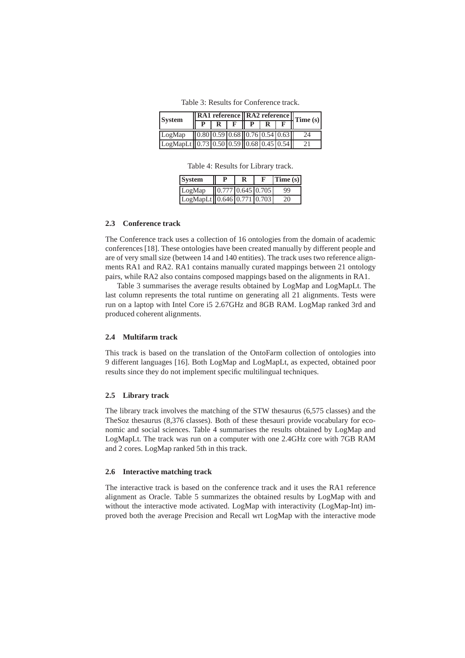Table 3: Results for Conference track.

| $\sqrt{\text{RA1 reference} \cdot \text{RA2 reference}}$ Time (s)<br><b>System</b> |  |  |  |  |  |    |
|------------------------------------------------------------------------------------|--|--|--|--|--|----|
|                                                                                    |  |  |  |  |  |    |
| LogMap $(0.80 \ 0.59 \ 0.68 \ 0.76 \ 0.54 \ 0.63)$                                 |  |  |  |  |  | 24 |
| $\text{LogMapLt}$ 0.73 0.50 0.59 0.68 0.45 0.54                                    |  |  |  |  |  | 21 |

Table 4: Results for Library track.

| <b>System</b>              |                     | F | Time(s) |  |
|----------------------------|---------------------|---|---------|--|
| LogMap                     | $0.777$ 0.645 0.705 |   | 99      |  |
| LogMapLt 0.646 0.771 0.703 |                     |   | 20      |  |

### **2.3 Conference track**

The Conference track uses a collection of 16 ontologies from the domain of academic conferences [18]. These ontologies have been created manually by different people and are of very small size (between 14 and 140 entities). The track uses two reference alignments RA1 and RA2. RA1 contains manually curated mappings between 21 ontology pairs, while RA2 also contains composed mappings based on the alignments in RA1.

Table 3 summarises the average results obtained by LogMap and LogMapLt. The last column represents the total runtime on generating all 21 alignments. Tests were run on a laptop with Intel Core i5 2.67GHz and 8GB RAM. LogMap ranked 3rd and produced coherent alignments.

### **2.4 Multifarm track**

This track is based on the translation of the OntoFarm collection of ontologies into 9 different languages [16]. Both LogMap and LogMapLt, as expected, obtained poor results since they do not implement specific multilingual techniques.

#### **2.5 Library track**

The library track involves the matching of the STW thesaurus (6,575 classes) and the TheSoz thesaurus (8,376 classes). Both of these thesauri provide vocabulary for economic and social sciences. Table 4 summarises the results obtained by LogMap and LogMapLt. The track was run on a computer with one 2.4GHz core with 7GB RAM and 2 cores. LogMap ranked 5th in this track.

#### **2.6 Interactive matching track**

The interactive track is based on the conference track and it uses the RA1 reference alignment as Oracle. Table 5 summarizes the obtained results by LogMap with and without the interactive mode activated. LogMap with interactivity (LogMap-Int) improved both the average Precision and Recall wrt LogMap with the interactive mode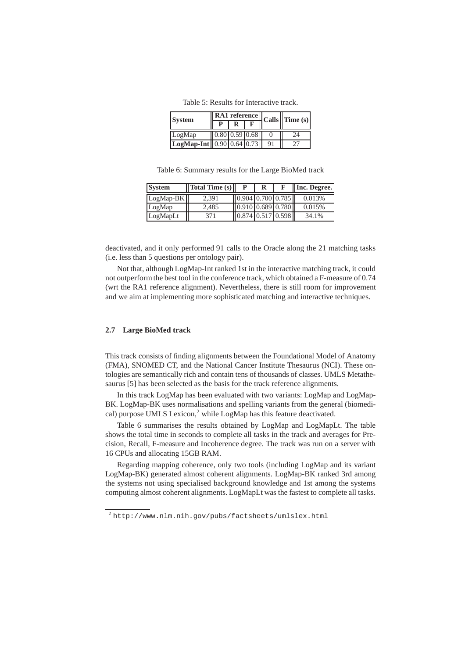Table 5: Results for Interactive track.

| <b>System</b>                           |                  |  |    | $\frac{1}{\sqrt{\text{RA1 reference}}}$ Calls $\left\  \text{Time (s)} \right\ $ |  |
|-----------------------------------------|------------------|--|----|----------------------------------------------------------------------------------|--|
|                                         |                  |  |    |                                                                                  |  |
| LogMap                                  | $0.80$ 0.59 0.68 |  |    | 24                                                                               |  |
| $LogMap-Int    0.90    0.64    0.73   $ |                  |  | 91 |                                                                                  |  |

Table 6: Summary results for the Large BioMed track

| <b>System</b> | $\ $ Total Time $(s)$ |                     | R | <b>Inc. Degree.</b> |
|---------------|-----------------------|---------------------|---|---------------------|
| $LogMap-BK$   | 2.391                 | 0.904 0.700 0.785   |   | 0.013%              |
| LogMap        | 2,485                 | 0.910 0.689 0.780   |   | 0.015%              |
| LogMapLt      | 371                   | $0.874$ 0.517 0.598 |   | 34.1%               |

deactivated, and it only performed 91 calls to the Oracle along the 21 matching tasks (i.e. less than 5 questions per ontology pair).

Not that, although LogMap-Int ranked 1st in the interactive matching track, it could not outperform the best tool in the conference track, which obtained a F-measure of 0.74 (wrt the RA1 reference alignment). Nevertheless, there is still room for improvement and we aim at implementing more sophisticated matching and interactive techniques.

### **2.7 Large BioMed track**

This track consists of finding alignments between the Foundational Model of Anatomy (FMA), SNOMED CT, and the National Cancer Institute Thesaurus (NCI). These ontologies are semantically rich and contain tens of thousands of classes. UMLS Metathesaurus [5] has been selected as the basis for the track reference alignments.

In this track LogMap has been evaluated with two variants: LogMap and LogMap-BK. LogMap-BK uses normalisations and spelling variants from the general (biomedical) purpose UMLS Lexicon,<sup>2</sup> while LogMap has this feature deactivated.

Table 6 summarises the results obtained by LogMap and LogMapLt. The table shows the total time in seconds to complete all tasks in the track and averages for Precision, Recall, F-measure and Incoherence degree. The track was run on a server with 16 CPUs and allocating 15GB RAM.

Regarding mapping coherence, only two tools (including LogMap and its variant LogMap-BK) generated almost coherent alignments. LogMap-BK ranked 3rd among the systems not using specialised background knowledge and 1st among the systems computing almost coherent alignments. LogMapLt was the fastest to complete all tasks.

<sup>2</sup> http://www.nlm.nih.gov/pubs/factsheets/umlslex.html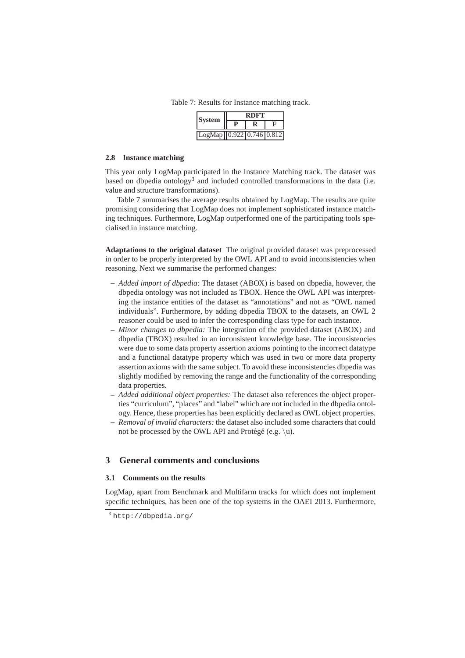Table 7: Results for Instance matching track.

| <b>System</b>            | RDET |  |  |  |  |
|--------------------------|------|--|--|--|--|
|                          |      |  |  |  |  |
| LogMap 0.922 0.746 0.812 |      |  |  |  |  |

#### **2.8 Instance matching**

This year only LogMap participated in the Instance Matching track. The dataset was based on dbpedia ontology<sup>3</sup> and included controlled transformations in the data (i.e. value and structure transformations).

Table 7 summarises the average results obtained by LogMap. The results are quite promising considering that LogMap does not implement sophisticated instance matching techniques. Furthermore, LogMap outperformed one of the participating tools specialised in instance matching.

**Adaptations to the original dataset** The original provided dataset was preprocessed in order to be properly interpreted by the OWL API and to avoid inconsistencies when reasoning. Next we summarise the performed changes:

- **–** *Added import of dbpedia:* The dataset (ABOX) is based on dbpedia, however, the dbpedia ontology was not included as TBOX. Hence the OWL API was interpreting the instance entities of the dataset as "annotations" and not as "OWL named individuals". Furthermore, by adding dbpedia TBOX to the datasets, an OWL 2 reasoner could be used to infer the corresponding class type for each instance.
- **–** *Minor changes to dbpedia:* The integration of the provided dataset (ABOX) and dbpedia (TBOX) resulted in an inconsistent knowledge base. The inconsistencies were due to some data property assertion axioms pointing to the incorrect datatype and a functional datatype property which was used in two or more data property assertion axioms with the same subject. To avoid these inconsistencies dbpedia was slightly modified by removing the range and the functionality of the corresponding data properties.
- **–** *Added additional object properties:* The dataset also references the object properties "curriculum", "places" and "label" which are not included in the dbpedia ontology. Hence, these properties has been explicitly declared as OWL object properties.
- **–** *Removal of invalid characters:* the dataset also included some characters that could not be processed by the OWL API and Protégé (e.g.  $\{u\}$ ).

# **3 General comments and conclusions**

#### **3.1 Comments on the results**

LogMap, apart from Benchmark and Multifarm tracks for which does not implement specific techniques, has been one of the top systems in the OAEI 2013. Furthermore,

<sup>3</sup> http://dbpedia.org/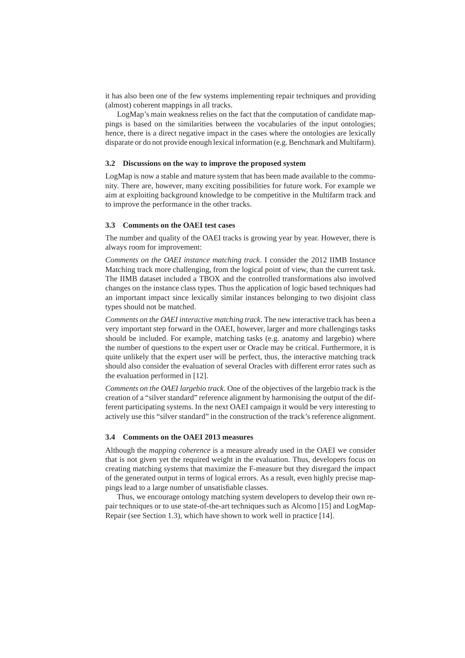it has also been one of the few systems implementing repair techniques and providing (almost) coherent mappings in all tracks.

LogMap's main weakness relies on the fact that the computation of candidate mappings is based on the similarities between the vocabularies of the input ontologies; hence, there is a direct negative impact in the cases where the ontologies are lexically disparate or do not provide enough lexical information (e.g. Benchmark and Multifarm).

#### **3.2 Discussions on the way to improve the proposed system**

LogMap is now a stable and mature system that has been made available to the community. There are, however, many exciting possibilities for future work. For example we aim at exploiting background knowledge to be competitive in the Multifarm track and to improve the performance in the other tracks.

#### **3.3 Comments on the OAEI test cases**

The number and quality of the OAEI tracks is growing year by year. However, there is always room for improvement:

*Comments on the OAEI instance matching track*. I consider the 2012 IIMB Instance Matching track more challenging, from the logical point of view, than the current task. The IIMB dataset included a TBOX and the controlled transformations also involved changes on the instance class types. Thus the application of logic based techniques had an important impact since lexically similar instances belonging to two disjoint class types should not be matched.

*Comments on the OAEI interactive matching track*. The new interactive track has been a very important step forward in the OAEI, however, larger and more challengings tasks should be included. For example, matching tasks (e.g. anatomy and largebio) where the number of questions to the expert user or Oracle may be critical. Furthermore, it is quite unlikely that the expert user will be perfect, thus, the interactive matching track should also consider the evaluation of several Oracles with different error rates such as the evaluation performed in [12].

*Comments on the OAEI largebio track*. One of the objectives of the largebio track is the creation of a "silver standard" reference alignment by harmonising the output of the different participating systems. In the next OAEI campaign it would be very interesting to actively use this "silver standard" in the construction of the track's reference alignment.

#### **3.4 Comments on the OAEI 2013 measures**

Although the *mapping coherence* is a measure already used in the OAEI we consider that is not given yet the required weight in the evaluation. Thus, developers focus on creating matching systems that maximize the F-measure but they disregard the impact of the generated output in terms of logical errors. As a result, even highly precise mappings lead to a large number of unsatisfiable classes.

Thus, we encourage ontology matching system developers to develop their own repair techniques or to use state-of-the-art techniques such as Alcomo [15] and LogMap-Repair (see Section 1.3), which have shown to work well in practice [14].